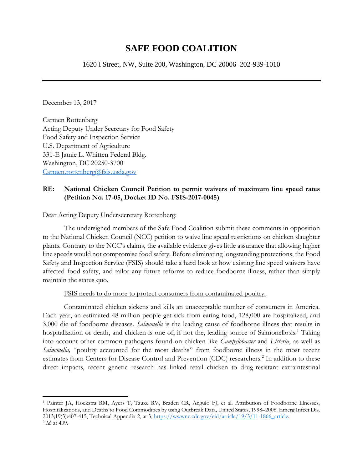# **SAFE FOOD COALITION**

1620 I Street, NW, Suite 200, Washington, DC 20006 202-939-1010

December 13, 2017

l

Carmen Rottenberg Acting Deputy Under Secretary for Food Safety Food Safety and Inspection Service U.S. Department of Agriculture 331-E Jamie L. Whitten Federal Bldg. Washington, DC 20250-3700 [Carmen.rottenberg@fsis.usda.gov](mailto:Carmen.rottenberg@fsis.usda.gov)

## **RE: National Chicken Council Petition to permit waivers of maximum line speed rates (Petition No. 17-05, Docket ID No. FSIS-2017-0045)**

Dear Acting Deputy Undersecretary Rottenberg:

The undersigned members of the Safe Food Coalition submit these comments in opposition to the National Chicken Council (NCC) petition to waive line speed restrictions on chicken slaughter plants. Contrary to the NCC's claims, the available evidence gives little assurance that allowing higher line speeds would not compromise food safety. Before eliminating longstanding protections, the Food Safety and Inspection Service (FSIS) should take a hard look at how existing line speed waivers have affected food safety, and tailor any future reforms to reduce foodborne illness, rather than simply maintain the status quo.

### FSIS needs to do more to protect consumers from contaminated poultry.

Contaminated chicken sickens and kills an unacceptable number of consumers in America. Each year, an estimated 48 million people get sick from eating food, 128,000 are hospitalized, and 3,000 die of foodborne diseases. *Salmonella* is the leading cause of foodborne illness that results in hospitalization or death, and chicken is one of, if not the, leading source of Salmonellosis.<sup>1</sup> Taking into account other common pathogens found on chicken like *Campylobacter* and *Listeria*, as well as *Salmonella,* "poultry accounted for the most deaths" from foodborne illness in the most recent estimates from Centers for Disease Control and Prevention (CDC) researchers.<sup>2</sup> In addition to these direct impacts, recent genetic research has linked retail chicken to drug-resistant extraintestinal

<sup>1</sup> Painter JA, Hoekstra RM, Ayers T, Tauxe RV, Braden CR, Angulo FJ, et al. Attribution of Foodborne Illnesses, Hospitalizations, and Deaths to Food Commodities by using Outbreak Data, United States, 1998–2008. Emerg Infect Dis. 2013;19(3):407-415, Technical Appendix 2, at 3, [https://wwwnc.cdc.gov/eid/article/19/3/11-1866\\_article.](https://wwwnc.cdc.gov/eid/article/19/3/11-1866_article) 2 *Id.* at 409.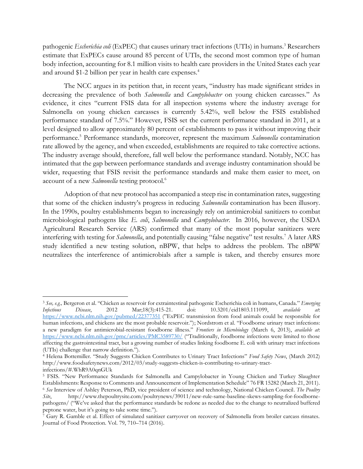pathogenic *Escherichia coli* (ExPEC) that causes urinary tract infections (UTIs) in humans. <sup>3</sup> Researchers estimate that ExPECs cause around 85 percent of UTIs, the second most common type of human body infection, accounting for 8.1 million visits to health care providers in the United States each year and around \$1-2 billion per year in health care expenses. 4

The NCC argues in its petition that, in recent years, "industry has made significant strides in decreasing the prevalence of both *Salmonella* and *Campylobacter* on young chicken carcasses." As evidence, it cites "current FSIS data for all inspection systems where the industry average for Salmonella on young chicken carcasses is currently 5.42%, well below the FSIS established performance standard of 7.5%." However, FSIS set the current performance standard in 2011, at a level designed to allow approximately 80 percent of establishments to pass it without improving their performance. <sup>5</sup> Performance standards, moreover, represent the maximum *Salmonella* contamination rate allowed by the agency, and when exceeded, establishments are required to take corrective actions. The industry average should, therefore, fall well below the performance standard. Notably, NCC has intimated that the gap between performance standards and average industry contamination should be wider, requesting that FSIS revisit the performance standards and make them easier to meet, on account of a new *Salmonella* testing protocol.<sup>6</sup>

Adoption of that new protocol has accompanied a steep rise in contamination rates, suggesting that some of the chicken industry's progress in reducing *Salmonella* contamination has been illusory. In the 1990s, poultry establishments began to increasingly rely on antimicrobial sanitizers to combat microbiological pathogens like *E. coli*, *Salmonella* and *Campylobacter*. In 2016, however, the USDA Agricultural Research Service (ARS) confirmed that many of the most popular sanitizers were interfering with testing for *Salmonella*, and potentially causing "false negative" test results.<sup>7</sup> A later ARS study identified a new testing solution, nBPW, that helps to address the problem. The nBPW neutralizes the interference of antimicrobials after a sample is taken, and thereby ensures more

<sup>3</sup> *See, e.g.,* Bergeron et al. "Chicken as reservoir for extraintestinal pathogenic Escherichia coli in humans, Canada." *Emerging Infectious Disease*, 2012 Mar;18(3):415-21. doi: 10.3201/eid1803.111099, *available at*: <https://www.ncbi.nlm.nih.gov/pubmed/22377351> ("ExPEC transmission from food animals could be responsible for human infections, and chickens are the most probable reservoir."); Nordstrom et al. "Foodborne urinary tract infections: a new paradigm for antimicrobial-resistant foodborne illness." *Frontiers in Microbiology* (March 6, 2013), *available at*: <https://www.ncbi.nlm.nih.gov/pmc/articles/PMC3589730/> ("Traditionally, foodborne infections were limited to those affecting the gastrointestinal tract, but a growing number of studies linking foodborne E. coli with urinary tract infections (UTIs) challenge that narrow definition.").

<sup>4</sup> Helena Bottemiller. "Study Suggests Chicken Contributes to Urinary Tract Infections" *Food Safety News*, (March 2012) http://www.foodsafetynews.com/2012/03/study-suggests-chicken-is-contributing-to-urinary-tractinfections/#.WhR9A0qnGUk

<sup>5</sup> FSIS. "New Performance Standards for Salmonella and Campylobacter in Young Chicken and Turkey Slaughter Establishments: Response to Comments and Announcement of Implementation Schedule" 76 FR 15282 (March 21, 2011). <sup>6</sup> *See* Interview of Ashley Peterson, PhD, vice president of science and technology, National Chicken Council. *The Poultry* 

*Site*, http://www.thepoultrysite.com/poultrynews/39011/new-rule-same-baseline-skews-sampling-for-foodbornepathogens/ ("We've asked that the performance standards be redone as needed due to the change to neutralized buffered peptone water, but it's going to take some time.").

<sup>7</sup> Gary R. Gamble et al. Effect of simulated sanitizer carryover on recovery of Salmonella from broiler carcass rinsates. Journal of Food Protection. Vol. 79, 710–714 (2016).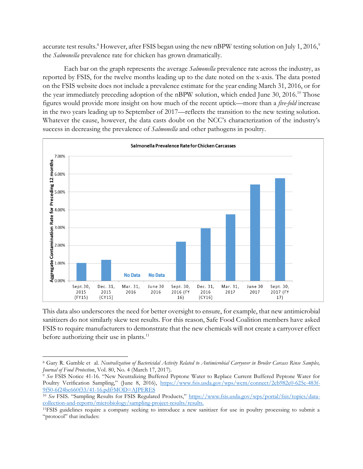accurate test results. $^8$  However, after FSIS began using the new nBPW testing solution on July 1, 2016, $^9$ the *Salmonella* prevalence rate for chicken has grown dramatically.

Each bar on the graph represents the average *Salmonella* prevalence rate across the industry, as reported by FSIS, for the twelve months leading up to the date noted on the x-axis. The data posted on the FSIS website does not include a prevalence estimate for the year ending March 31, 2016, or for the year immediately preceding adoption of the nBPW solution, which ended June 30, 2016.<sup>10</sup> Those figures would provide more insight on how much of the recent uptick—more than a *five-fold* increase in the two years leading up to September of 2017—reflects the transition to the new testing solution. Whatever the cause, however, the data casts doubt on the NCC's characterization of the industry's success in decreasing the prevalence of *Salmonella* and other pathogens in poultry.



This data also underscores the need for better oversight to ensure, for example, that new antimicrobial sanitizers do not similarly skew test results. For this reason, Safe Food Coalition members have asked FSIS to require manufacturers to demonstrate that the new chemicals will not create a carryover effect before authorizing their use in plants.<sup>11</sup>

<sup>8</sup> Gary R. Gamble et al. *Neutralization of Bactericidal Activity Related to Antimicrobial Carryover in Broiler Carcass Rinse Samples, Journal of Food Protection*, Vol. 80, No. 4 (March 17, 2017).

<sup>9</sup> *See* FSIS Notice 41-16. "New Neutralizing Buffered Peptone Water to Replace Current Buffered Peptone Water for Poultry Verification Sampling," (June 8, 2016), [https://www.fsis.usda.gov/wps/wcm/connect/2cb982e0-625c-483f-](https://www.fsis.usda.gov/wps/wcm/connect/2cb982e0-625c-483f-9f50-6f24bc660f33/41-16.pdf?MOD=AJPERES)[9f50-6f24bc660f33/41-16.pdf?MOD=AJPERES](https://www.fsis.usda.gov/wps/wcm/connect/2cb982e0-625c-483f-9f50-6f24bc660f33/41-16.pdf?MOD=AJPERES)

<sup>&</sup>lt;sup>10</sup> See FSIS. "Sampling Results for FSIS Regulated Products," [https://www.fsis.usda.gov/wps/portal/fsis/topics/data](https://www.fsis.usda.gov/wps/portal/fsis/topics/data-collection-and-reports/microbiology/sampling-project-results/results)[collection-and-reports/microbiology/sampling-project-results/results.](https://www.fsis.usda.gov/wps/portal/fsis/topics/data-collection-and-reports/microbiology/sampling-project-results/results)

<sup>11</sup>FSIS guidelines require a company seeking to introduce a new sanitizer for use in poultry processing to submit a "protocol" that includes: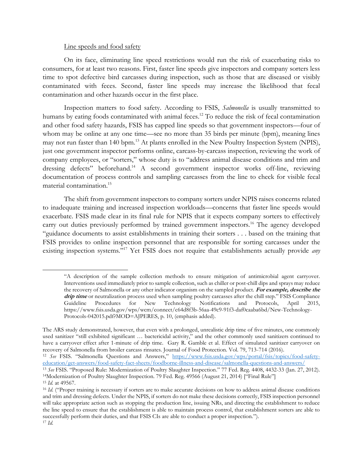#### Line speeds and food safety

l

On its face, eliminating line speed restrictions would run the risk of exacerbating risks to consumers, for at least two reasons. First, faster line speeds give inspectors and company sorters less time to spot defective bird carcasses during inspection, such as those that are diseased or visibly contaminated with feces. Second, faster line speeds may increase the likelihood that fecal contamination and other hazards occur in the first place.

Inspection matters to food safety. According to FSIS, *Salmonella* is usually transmitted to humans by eating foods contaminated with animal feces.<sup>12</sup> To reduce the risk of fecal contamination and other food safety hazards, FSIS has capped line speeds so that government inspectors—four of whom may be online at any one time—see no more than 35 birds per minute (bpm), meaning lines may not run faster than 140 bpm.<sup>13</sup> At plants enrolled in the New Poultry Inspection System (NPIS), just one government inspector performs online, carcass-by-carcass inspection, reviewing the work of company employees, or "sorters," whose duty is to "address animal disease conditions and trim and dressing defects" beforehand. <sup>14</sup> A second government inspector works off-line, reviewing documentation of process controls and sampling carcasses from the line to check for visible fecal material contamination.<sup>15</sup>

The shift from government inspectors to company sorters under NPIS raises concerns related to inadequate training and increased inspection workloads—concerns that faster line speeds would exacerbate. FSIS made clear in its final rule for NPIS that it expects company sorters to effectively carry out duties previously performed by trained government inspectors.<sup>16</sup> The agency developed "guidance documents to assist establishments in training their sorters . . . based on the training that FSIS provides to online inspection personnel that are responsible for sorting carcasses under the existing inspection systems." <sup>17</sup> Yet FSIS does not require that establishments actually provide *any* 

<sup>&</sup>quot;A description of the sample collection methods to ensure mitigation of antimicrobial agent carryover. Interventions used immediately prior to sample collection, such as chiller or post-chill dips and sprays may reduce the recovery of Salmonella or any other indicator organism on the sampled product. **For example, describe the**  drip time or neutralization process used when sampling poultry carcasses after the chill step." FSIS Compliance Guideline Procedures for New Technology Notifications and Protocols, April 2015, https://www.fsis.usda.gov/wps/wcm/connect/c64d8f3b-56aa-49c9-91f3-daf0caaba6bd/New-Technology-Protocols-042015.pdf?MOD=AJPERES, p. 10, (emphasis added).

The ARS study demonstrated, however, that even with a prolonged, unrealistic drip time of five minutes, one commonly used sanitizer "still exhibited significant … bactericidal activity," and the other commonly used sanitizers continued to have a carryover effect after 1-minute of drip time. Gary R. Gamble et al. Effect of simulated sanitizer carryover on recovery of Salmonella from broiler carcass rinsates. Journal of Food Protection. Vol. 79, 713-714 (2016).

<sup>12</sup> *See* FSIS. "Salmonella Questions and Answers," [https://www.fsis.usda.gov/wps/portal/fsis/topics/food-safety](https://www.fsis.usda.gov/wps/portal/fsis/topics/food-safety-education/get-answers/food-safety-fact-sheets/foodborne-illness-and-disease/salmonella-questions-and-answers/)[education/get-answers/food-safety-fact-sheets/foodborne-illness-and-disease/salmonella-questions-and-answers/](https://www.fsis.usda.gov/wps/portal/fsis/topics/food-safety-education/get-answers/food-safety-fact-sheets/foodborne-illness-and-disease/salmonella-questions-and-answers/)

<sup>13</sup> *See* FSIS. "Proposed Rule: Modernization of Poultry Slaughter Inspection." 77 Fed. Reg. 4408, 4432-33 (Jan. 27, 2012). <sup>14</sup>Modernization of Poultry Slaughter Inspection. 79 Fed. Reg. 49566 (August 21, 2014) ["Final Rule"] <sup>15</sup> *Id.* at 49567.

<sup>&</sup>lt;sup>16</sup> *Id.* ("Proper training is necessary if sorters are to make accurate decisions on how to address animal disease conditions and trim and dressing defects. Under the NPIS, if sorters do not make these decisions correctly, FSIS inspection personnel will take appropriate action such as stopping the production line, issuing NRs, and directing the establishment to reduce the line speed to ensure that the establishment is able to maintain process control, that establishment sorters are able to successfully perform their duties, and that FSIS CIs are able to conduct a proper inspection."). <sup>17</sup> *Id.*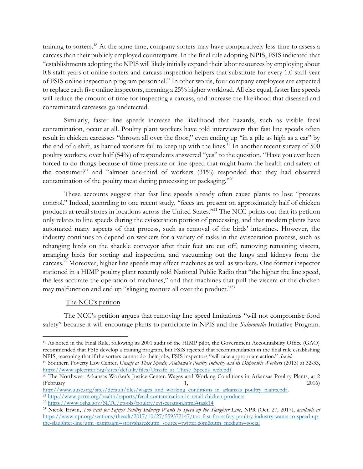training to sorters.<sup>18</sup> At the same time, company sorters may have comparatively less time to assess a carcass than their publicly employed counterparts. In the final rule adopting NPIS, FSIS indicated that "establishments adopting the NPIS will likely initially expand their labor resources by employing about 0.8 staff-years of online sorters and carcass-inspection helpers that substitute for every 1.0 staff-year of FSIS online inspection program personnel." In other words, four company employees are expected to replace each five online inspectors, meaning a 25% higher workload. All else equal, faster line speeds will reduce the amount of time for inspecting a carcass, and increase the likelihood that diseased and contaminated carcasses go undetected.

Similarly, faster line speeds increase the likelihood that hazards, such as visible fecal contamination, occur at all. Poultry plant workers have told interviewers that fast line speeds often result in chicken carcasses "thrown all over the floor," even ending up "in a pile as high as a car" by the end of a shift, as harried workers fail to keep up with the lines.<sup>19</sup> In another recent survey of 500 poultry workers, over half (54%) of respondents answered "yes" to the question, "Have you ever been forced to do things because of time pressure or line speed that might harm the health and safety of the consumer?" and "almost one-third of workers (31%) responded that they had observed contamination of the poultry meat during processing or packaging."20

These accounts suggest that fast line speeds already often cause plants to lose "process control." Indeed, according to one recent study, "feces are present on approximately half of chicken products at retail stores in locations across the United States." <sup>21</sup> The NCC points out that its petition only relates to line speeds during the evisceration portion of processing, and that modern plants have automated many aspects of that process, such as removal of the birds' intestines. However, the industry continues to depend on workers for a variety of tasks in the evisceration process, such as rehanging birds on the shackle conveyor after their feet are cut off, removing remaining viscera, arranging birds for sorting and inspection, and vacuuming out the lungs and kidneys from the carcass.<sup>22</sup> Moreover, higher line speeds may affect machines as well as workers. One former inspector stationed in a HIMP poultry plant recently told National Public Radio that "the higher the line speed, the less accurate the operation of machines," and that machines that pull the viscera of the chicken may malfunction and end up "slinging manure all over the product."<sup>23</sup>

## The NCC's petition

 $\overline{a}$ 

The NCC's petition argues that removing line speed limitations "will not compromise food safety" because it will encourage plants to participate in NPIS and the *Salmonella* Initiative Program.

<sup>18</sup> As noted in the Final Rule, following its 2001 audit of the HIMP pilot, the Government Accountability Office (GAO) recommended that FSIS develop a training program, but FSIS rejected that recommendation in the final rule establishing NPIS, reasoning that if the sorters cannot do their jobs, FSIS inspectors "will take appropriate action." *See id.* 

<sup>19</sup> Southern Poverty Law Center, *Unsafe at These Speeds, Alabama's Poultry Industry and its Disposable Workers* (2013) at 32-33, [https://www.splcenter.org/sites/default/files/Unsafe\\_at\\_These\\_Speeds\\_web.pdf](https://www.splcenter.org/sites/default/files/Unsafe_at_These_Speeds_web.pdf)

<sup>20</sup> The Northwest Arkansas Worker's Justice Center. Wages and Working Conditions in Arkansas Poultry Plants, at 2 (February 1, 2016)

[http://www.uusc.org/sites/default/files/wages\\_and\\_working\\_conditions\\_in\\_arkansas\\_poultry\\_plants.pdf.](http://www.uusc.org/sites/default/files/wages_and_working_conditions_in_arkansas_poultry_plants.pdf)

<sup>21</sup> <http://www.pcrm.org/health/reports/fecal-contamination-in-retail-chicken-products>

<sup>22</sup> <https://www.osha.gov/SLTC/etools/poultry/evisceration.html#task14>

<sup>23</sup> Nicole Erwin, *Too Fast for Safety? Poultry Industry Wants to Speed up the Slaughter Line*, NPR (Oct. 27, 2017), *available at* [https://www.npr.org/sections/thesalt/2017/10/27/559572147/too-fast-for-safety-poultry-industry-wants-to-speed-up](https://www.npr.org/sections/thesalt/2017/10/27/559572147/too-fast-for-safety-poultry-industry-wants-to-speed-up-the-slaughter-line?utm_campaign=storyshare&utm_source=twitter.com&utm_medium=social)[the-slaughter-line?utm\\_campaign=storyshare&utm\\_source=twitter.com&utm\\_medium=social](https://www.npr.org/sections/thesalt/2017/10/27/559572147/too-fast-for-safety-poultry-industry-wants-to-speed-up-the-slaughter-line?utm_campaign=storyshare&utm_source=twitter.com&utm_medium=social)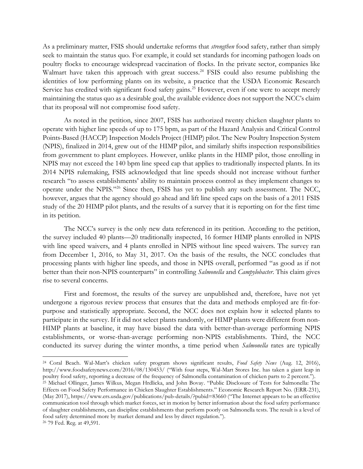As a preliminary matter, FSIS should undertake reforms that *strengthen* food safety, rather than simply seek to maintain the status quo. For example, it could set standards for incoming pathogen loads on poultry flocks to encourage widespread vaccination of flocks. In the private sector, companies like Walmart have taken this approach with great success.<sup>24</sup> FSIS could also resume publishing the identities of low performing plants on its website, a practice that the USDA Economic Research Service has credited with significant food safety gains.<sup>25</sup> However, even if one were to accept merely maintaining the status quo as a desirable goal, the available evidence does not support the NCC's claim that its proposal will not compromise food safety.

As noted in the petition, since 2007, FSIS has authorized twenty chicken slaughter plants to operate with higher line speeds of up to 175 bpm, as part of the Hazard Analysis and Critical Control Points-Based (HACCP) Inspection Models Project (HIMP) pilot. The New Poultry Inspection System (NPIS), finalized in 2014, grew out of the HIMP pilot, and similarly shifts inspection responsibilities from government to plant employees. However, unlike plants in the HIMP pilot, those enrolling in NPIS may not exceed the 140 bpm line speed cap that applies to traditionally inspected plants. In its 2014 NPIS rulemaking, FSIS acknowledged that line speeds should not increase without further research "to assess establishments' ability to maintain process control as they implement changes to operate under the NPIS."<sup>26</sup> Since then, FSIS has yet to publish any such assessment. The NCC, however, argues that the agency should go ahead and lift line speed caps on the basis of a 2011 FSIS study of the 20 HIMP pilot plants, and the results of a survey that it is reporting on for the first time in its petition.

The NCC's survey is the only new data referenced in its petition. According to the petition, the survey included 40 plants—20 traditionally inspected, 16 former HIMP plants enrolled in NPIS with line speed waivers, and 4 plants enrolled in NPIS without line speed waivers. The survey ran from December 1, 2016, to May 31, 2017. On the basis of the results, the NCC concludes that processing plants with higher line speeds, and those in NPIS overall, performed "as good as if not better than their non-NPIS counterparts" in controlling *Salmonella* and *Campylobacter*. This claim gives rise to several concerns.

First and foremost, the results of the survey are unpublished and, therefore, have not yet undergone a rigorous review process that ensures that the data and methods employed are fit-forpurpose and statistically appropriate. Second, the NCC does not explain how it selected plants to participate in the survey. If it did not select plants randomly, or HIMP plants were different from non-HIMP plants at baseline, it may have biased the data with better-than-average performing NPIS establishments, or worse-than-average performing non-NPIS establishments. Third, the NCC conducted its survey during the winter months, a time period when *Salmonella* rates are typically

<sup>24</sup> Coral Beach. Wal-Mart's chicken safety program shows significant results, *Food Safety News* (Aug. 12, 2016), http://www.foodsafetynews.com/2016/08/130453/ ("With four steps, Wal-Mart Stores Inc. has taken a giant leap in poultry food safety, reporting a decrease of the frequency of Salmonella contamination of chicken parts to 2 percent.").

<sup>25</sup> Michael Ollinger, James Wilkus, Megan Hrdlicka, and John Bovay. "Public Disclosure of Tests for Salmonella: The Effects on Food Safety Performance in Chicken Slaughter Establishments." Economic Research Report No. (ERR-231), (May 2017), https://www.ers.usda.gov/publications/pub-details/?pubid=83660 ("The Internet appears to be an effective communication tool through which market forces, set in motion by better information about the food safety performance of slaughter establishments, can discipline establishments that perform poorly on Salmonella tests. The result is a level of food safety determined more by market demand and less by direct regulation.").

<sup>26</sup> 79 Fed. Reg. at 49,591.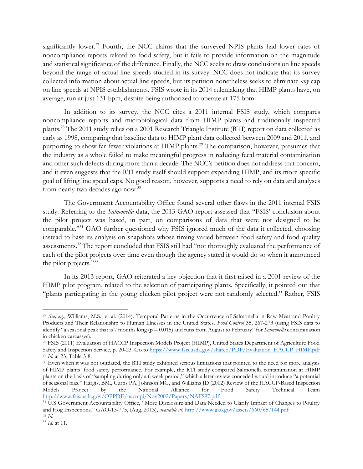significantly lower.<sup>27</sup> Fourth, the NCC claims that the surveyed NPIS plants had lower rates of noncompliance reports related to food safety, but it fails to provide information on the magnitude and statistical significance of the difference. Finally, the NCC seeks to draw conclusions on line speeds beyond the range of actual line speeds studied in its survey. NCC does not indicate that its survey collected information about actual line speeds, but its petition nonetheless seeks to eliminate *any* cap on line speeds at NPIS establishments. FSIS wrote in its 2014 rulemaking that HIMP plants have, on average, run at just 131 bpm, despite being authorized to operate at 175 bpm.

In addition to its survey, the NCC cites a 2011 internal FSIS study, which compares noncompliance reports and microbiological data from HIMP plants and traditionally inspected plants.<sup>28</sup> The 2011 study relies on a 2001 Research Triangle Institute (RTI) report on data collected as early as 1998, comparing that baseline data to HIMP plant data collected between 2009 and 2011, and purporting to show far fewer violations at HIMP plants.<sup>29</sup> The comparison, however, presumes that the industry as a whole failed to make meaningful progress in reducing fecal material contamination and other such defects during more than a decade. The NCC's petition does not address that concern, and it even suggests that the RTI study itself should support expanding HIMP, and its more specific goal of lifting line speed caps. No good reason, however, supports a need to rely on data and analyses from nearly two decades ago now.<sup>30</sup>

The Government Accountability Office found several other flaws in the 2011 internal FSIS study. Referring to the *Salmonella* data, the 2013 GAO report assessed that "FSIS' conclusion about the pilot project was based, in part, on comparisons of data that were not designed to be comparable." <sup>31</sup> GAO further questioned why FSIS ignored much of the data it collected, choosing instead to base its analysis on snapshots whose timing varied between food safety and food quality assessments.<sup>32</sup> The report concluded that FSIS still had "not thoroughly evaluated the performance of each of the pilot projects over time even though the agency stated it would do so when it announced the pilot projects."<sup>33</sup>

In its 2013 report, GAO reiterated a key objection that it first raised in a 2001 review of the HIMP pilot program, related to the selection of participating plants. Specifically, it pointed out that "plants participating in the young chicken pilot project were not randomly selected." Rather, FSIS

 $\overline{a}$ 

<sup>27</sup> *See, e.g.,* Williams, M.S., et al. (2014). Temporal Patterns in the Occurrence of Salmonella in Raw Meat and Poultry Products and Their Relationship to Human Illnesses in the United States. *Food Control* 35, 267-273 (using FSIS data to identify "a seasonal peak that is  $\overline{7}$  months long (p = 0.015) and runs from August to February" for *Salmonella* contamination in chicken carcasses).

<sup>28</sup> FSIS (2011) Evaluation of HACCP Inspection Models Project (HIMP), United States Department of Agriculture Food Safety and Inspection Service, p. 20-23. Go to [https://www.fsis.usda.gov/shared/PDF/Evaluation\\_HACCP\\_HIMP.pdf](https://www.fsis.usda.gov/shared/PDF/Evaluation_HACCP_HIMP.pdf) <sup>29</sup> *Id.* at 23, Table 3-8.

<sup>&</sup>lt;sup>30</sup> Even when it was not outdated, the RTI study exhibited serious limitations that pointed to the need for more analysis of HIMP plants' food safety performance. For example, the RTI study compared Salmonella contamination at HIMP plants on the basis of "sampling during only a 6 week period," which a later review conceded would introduce "a potential of seasonal bias." Hargis, BM., Curtis PA, Johnson MG, and Williams JD (2002) Review of the HACCP-Based Inspection Models Project by the National Alliance for Food Safety Technical Team <http://www.fsis.usda.gov/OPPDE/nacmpi/Nov2002/Papers/NAFS97.pdf>

<sup>31</sup> U.S Government Accountability Office, "More Disclosure and Data Needed to Clarify Impact of Changes to Poultry and Hog Inspections." GAO-13-775, (Aug. 2013), *available at.* <http://www.gao.gov/assets/660/657144.pdf> <sup>32</sup> *Id.* 

<sup>33</sup> *Id.* at 11.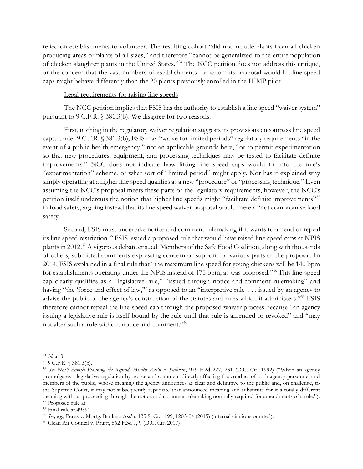relied on establishments to volunteer. The resulting cohort "did not include plants from all chicken producing areas or plants of all sizes," and therefore "cannot be generalized to the entire population of chicken slaughter plants in the United States." <sup>34</sup> The NCC petition does not address this critique, or the concern that the vast numbers of establishments for whom its proposal would lift line speed caps might behave differently than the 20 plants previously enrolled in the HIMP pilot.

#### Legal requirements for raising line speeds

The NCC petition implies that FSIS has the authority to establish a line speed "waiver system" pursuant to 9 C.F.R. § 381.3(b). We disagree for two reasons.

First, nothing in the regulatory waiver regulation suggests its provisions encompass line speed caps. Under 9 C.F.R. § 381.3(b), FSIS may "waive for limited periods" regulatory requirements "in the event of a public health emergency," not an applicable grounds here, "or to permit experimentation so that new procedures, equipment, and processing techniques may be tested to facilitate definite improvements." NCC does not indicate how lifting line speed caps would fit into the rule's "experimentation" scheme, or what sort of "limited period" might apply. Nor has it explained why simply operating at a higher line speed qualifies as a new "procedure" or "processing technique." Even assuming the NCC's proposal meets these parts of the regulatory requirements, however, the NCC's petition itself undercuts the notion that higher line speeds might "facilitate definite improvements"<sup>35</sup> in food safety, arguing instead that its line speed waiver proposal would merely "not compromise food safety."

Second, FSIS must undertake notice and comment rulemaking if it wants to amend or repeal its line speed restriction.<sup>36</sup> FSIS issued a proposed rule that would have raised line speed caps at NPIS plants in 2012.<sup>37</sup> A vigorous debate ensued. Members of the Safe Food Coalition, along with thousands of others, submitted comments expressing concern or support for various parts of the proposal. In 2014, FSIS explained in a final rule that "the maximum line speed for young chickens will be 140 bpm for establishments operating under the NPIS instead of 175 bpm, as was proposed."<sup>38</sup> This line-speed cap clearly qualifies as a "legislative rule," "issued through notice-and-comment rulemaking" and having "the 'force and effect of law," as opposed to an "interpretive rule ... issued by an agency to advise the public of the agency's construction of the statutes and rules which it administers."<sup>39</sup> FSIS therefore cannot repeal the line-speed cap through the proposed waiver process because "an agency issuing a legislative rule is itself bound by the rule until that rule is amended or revoked" and "may not alter such a rule without notice and comment."<sup>40</sup>

<sup>34</sup> *Id.* at 3.

<sup>35</sup> 9 C.F.R. § 381.3(b).

<sup>36</sup> *See Nat'l Family Planning & Reprod. Health Ass'n v. Sullivan*, 979 F.2d 227, 231 (D.C. Cir. 1992) ("When an agency promulgates a legislative regulation by notice and comment directly affecting the conduct of both agency personnel and members of the public, whose meaning the agency announces as clear and definitive to the public and, on challenge, to the Supreme Court, it may not subsequently repudiate that announced meaning and substitute for it a totally different meaning without proceeding through the notice and comment rulemaking normally required for amendments of a rule."). <sup>37</sup> Proposed rule at

<sup>38</sup> Final rule at 49591.

<sup>39</sup> *See, e.g.,* Perez v. Mortg. Bankers Ass'n, 135 S. Ct. 1199, 1203-04 (2015) (internal citations omitted).

<sup>40</sup> Clean Air Council v. Pruitt, 862 F.3d 1, 9 (D.C. Cir. 2017)